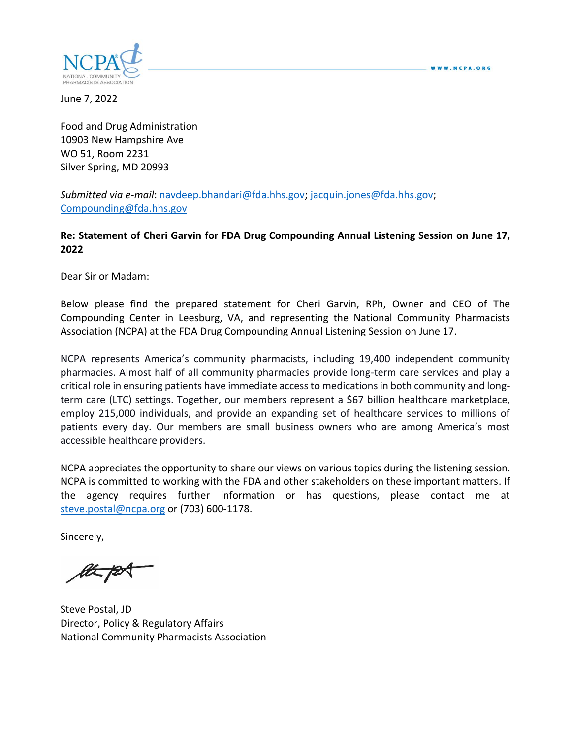

June 7, 2022

Food and Drug Administration 10903 New Hampshire Ave WO 51, Room 2231 Silver Spring, MD 20993

*Submitted via e-mail*: [navdeep.bhandari@fda.hhs.gov;](mailto:navdeep.bhandari@fda.hhs.gov) [jacquin.jones@fda.hhs.gov;](mailto:jacquin.jones@fda.hhs.gov) [Compounding@fda.hhs.gov](mailto:Compounding@fda.hhs.gov)

#### **Re: Statement of Cheri Garvin for FDA Drug Compounding Annual Listening Session on June 17, 2022**

Dear Sir or Madam:

Below please find the prepared statement for Cheri Garvin, RPh, Owner and CEO of The Compounding Center in Leesburg, VA, and representing the National Community Pharmacists Association (NCPA) at the FDA Drug Compounding Annual Listening Session on June 17.

NCPA represents America's community pharmacists, including 19,400 independent community pharmacies. Almost half of all community pharmacies provide long-term care services and play a critical role in ensuring patients have immediate access to medications in both community and longterm care (LTC) settings. Together, our members represent a \$67 billion healthcare marketplace, employ 215,000 individuals, and provide an expanding set of healthcare services to millions of patients every day. Our members are small business owners who are among America's most accessible healthcare providers.

NCPA appreciates the opportunity to share our views on various topics during the listening session. NCPA is committed to working with the FDA and other stakeholders on these important matters. If the agency requires further information or has questions, please contact me at [steve.postal@ncpa.org](mailto:steve.postal@ncpa.org) or (703) 600-1178.

Sincerely,

Steve Postal, JD Director, Policy & Regulatory Affairs National Community Pharmacists Association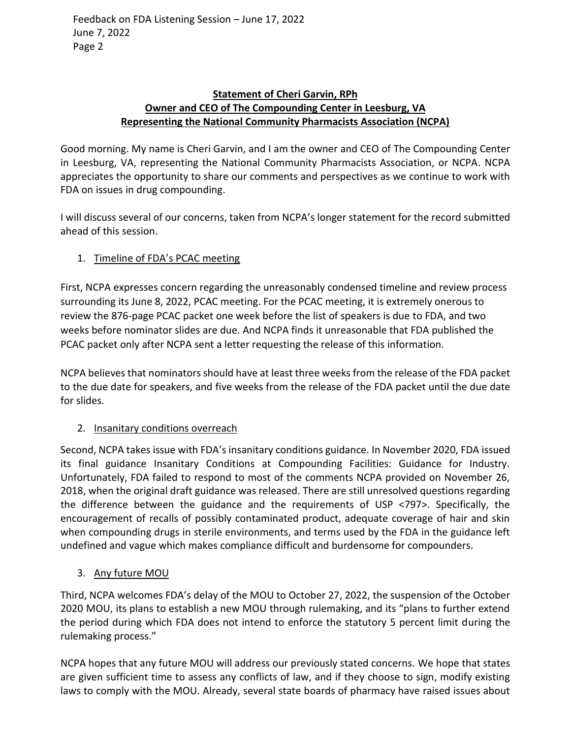### **Statement of Cheri Garvin, RPh Owner and CEO of The Compounding Center in Leesburg, VA Representing the National Community Pharmacists Association (NCPA)**

Good morning. My name is Cheri Garvin, and I am the owner and CEO of The Compounding Center in Leesburg, VA, representing the National Community Pharmacists Association, or NCPA. NCPA appreciates the opportunity to share our comments and perspectives as we continue to work with FDA on issues in drug compounding.

I will discuss several of our concerns, taken from NCPA's longer statement for the record submitted ahead of this session.

# 1. Timeline of FDA's PCAC meeting

First, NCPA expresses concern regarding the unreasonably condensed timeline and review process surrounding its June 8, 2022, PCAC meeting. For the PCAC meeting, it is extremely onerous to review the 876-page PCAC packet one week before the list of speakers is due to FDA, and two weeks before nominator slides are due. And NCPA finds it unreasonable that FDA published the PCAC packet only after NCPA sent a letter requesting the release of this information.

NCPA believes that nominators should have at least three weeks from the release of the FDA packet to the due date for speakers, and five weeks from the release of the FDA packet until the due date for slides.

## 2. Insanitary conditions overreach

Second, NCPA takes issue with FDA's insanitary conditions guidance. In November 2020, FDA issued its final guidance Insanitary Conditions at Compounding Facilities: Guidance for Industry. Unfortunately, FDA failed to respond to most of the comments NCPA provided on November 26, 2018, when the original draft guidance was released. There are still unresolved questions regarding the difference between the guidance and the requirements of USP <797>. Specifically, the encouragement of recalls of possibly contaminated product, adequate coverage of hair and skin when compounding drugs in sterile environments, and terms used by the FDA in the guidance left undefined and vague which makes compliance difficult and burdensome for compounders.

## 3. Any future MOU

Third, NCPA welcomes FDA's delay of the MOU to October 27, 2022, the suspension of the October 2020 MOU, its plans to establish a new MOU through rulemaking, and its "plans to further extend the period during which FDA does not intend to enforce the statutory 5 percent limit during the rulemaking process."

NCPA hopes that any future MOU will address our previously stated concerns. We hope that states are given sufficient time to assess any conflicts of law, and if they choose to sign, modify existing laws to comply with the MOU. Already, several state boards of pharmacy have raised issues about